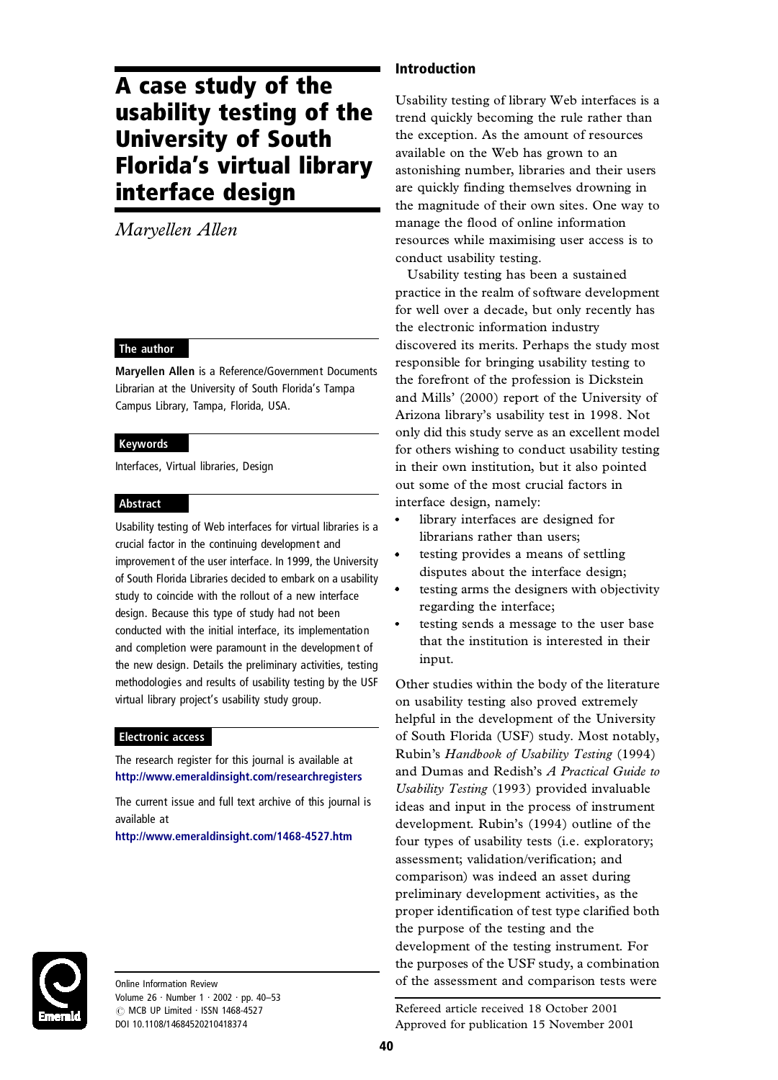# A case study of the usability testing of the University of South Florida's virtual library interface design

*Maryellen Allen*

## The author

Maryellen Allen is a Reference/Government Documents Librarian at the University of South Florida's Tampa Campus Library, Tampa, Florida, USA.

## Keywords

Interfaces, Virtual libraries, Design

## Abstract

Usability testing of Web interfaces for virtual libraries is a crucial factor in the continuing development and improvement of the user interface. In 1999, the University of South Florida Libraries decided to embark on a usability study to coincide with the rollout of a new interface design. Because this type of study had not been conducted with the initial interface, its implementation and completion were paramount in the development of the new design. Details the preliminary activities, testing methodologies and results of usability testing by the USF virtual library project's usability study group.

## Electronic access

The research register for this journal is available at <http://www.emeraldinsight.com/researchregisters>

The current issue and full text archive of this journal is available at

<http://www.emeraldinsight.com/1468-4527.htm>



Online Information Review Volume 26 · Number 1 · 2002 · pp. 40-53 © MCB UP Limited · ISSN 1468-4527 DOI 10.1108/14684520210418374

# Introduction

Usability testing of library Web interfaces is a trend quickly becoming the rule rather than the exception. As the amount of resources available on the Web has grown to an astonishing number, libraries and their users are quickly finding themselves drowning in the magnitude of their own sites. One way to manage the flood of online information resources while maximising user access is to conduct usability testing.

Usability testing has been a sustained practice in the realm of software development for well over a decade, but only recently has the electronic information industry discovered its merits. Perhaps the study most responsible for bringing usability testing to the forefront of the profession is Dickstein and Mills' (2000) report of the University of Arizona library's usability test in 1998. Not only did this study serve as an excellent model for others wishing to conduct usability testing in their own institution, but it also pointed out some of the most crucial factors in interface design, namely:

- library interfaces are designed for librarians rather than users;
- testing provides a means of settling disputes about the interface design;
- testing arms the designers with objectivity regarding the interface;
- testing sends a message to the user base that the institution is interested in their input.

Other studies within the body of the literature on usability testing also proved extremely helpful in the development of the University of South Florida (USF) study. Most notably, Rubin's *Handbook of Usability Testing* (1994) and Dumas and Redish's *A Practical Guide to Usability Testing* (1993) provided invaluable ideas and input in the process of instrument development. Rubin's (1994) outline of the four types of usability tests (i.e. exploratory; assessment; validation/verification; and comparison) was indeed an asset during preliminary development activities, as the proper identification of test type clarified both the purpose of the testing and the development of the testing instrument. For the purposes of the USF study, a combination of the assessment and comparison tests were

Refereed article received 18 October 2001 Approved for publication 15 November 2001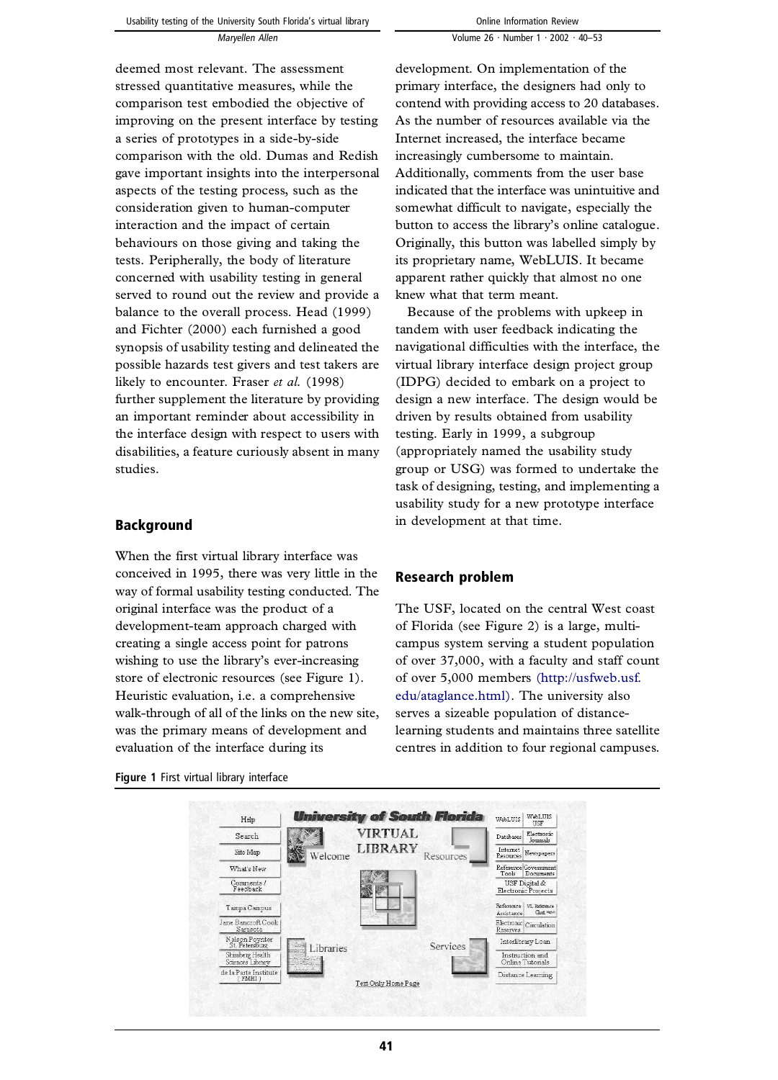deemed most relevant. The assessment stressed quantitative measures, while the comparison test embodied the objective of improving on the present interface by testing a series of prototypes in a side-by-side comparison with the old. Dumas and Redish gave important insights into the interpersonal aspects of the testing process, such as the consideration given to human-computer interaction and the impact of certain behaviours on those giving and taking the tests. Peripherally, the body of literature concerned with usability testing in general served to round out the review and provide a balance to the overall process. Head (1999) and Fichter (2000) each furnished a good synopsis of usability testing and delineated the possible hazards test givers and test takers are likely to encounter. Fraser *et al.* (1998) further supplement the literature by providing an important reminder about accessibility in the interface design with respect to users with disabilities, a feature curiously absent in many studies.

# Background

When the first virtual library interface was conceived in 1995, there was very little in the way of formal usability testing conducted. The original interface was the product of a development-team approach charged with creating a single access point for patrons wishing to use the library's ever-increasing store of electronic resources (see Figure 1). Heuristic evaluation, i.e. a comprehensive walk-through of all of the links on the new site, was the primary means of development and evaluation of the interface during its

development. On implementation of the primary interface, the designers had only to contend with providing access to 20 databases. As the number of resources available via the Internet increased, the interface became increasingly cumbersome to maintain. Additionally, comments from the user base indicated that the interface was unintuitive and somewhat difficult to navigate, especially the button to access the library's online catalogue. Originally, this button was labelled simply by its proprietary name, WebLUIS. It became apparent rather quickly that almost no one knew what that term meant.

Because of the problems with upkeep in tandem with user feedback indicating the navigational difficulties with the interface, the virtual library interface design project group (IDPG) decided to embark on a project to design a new interface. The design would be driven by results obtained from usability testing. Early in 1999, a subgroup (appropriately named the usability study group or USG) was formed to undertake the task of designing, testing, and implementing a usability study for a new prototype interface in development at that time.

# Research problem

The USF, located on the central West coast of Florida (see Figure 2) is a large, multi campus system serving a student population of over 37,000, with a faculty and staff count of over 5,000 members [\(http://usfweb.usf.](http://usfweb.usf.edu/ataglance.html) [edu/ataglance.html\)](http://usfweb.usf.edu/ataglance.html). The university also serves a sizeable population of distancelearning students and maintains three satellite centres in addition to four regional campuses.



#### Figure 1 First virtual library interface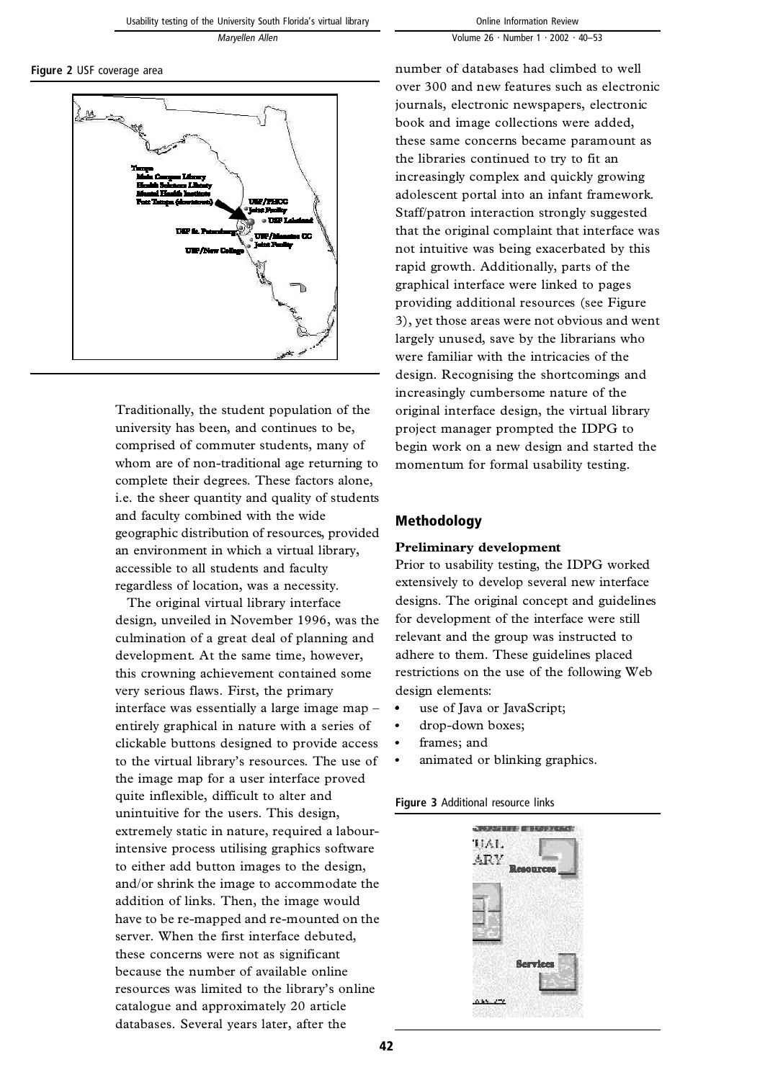#### Figure 2 USF coverage area



Traditionally, the student population of the university has been, and continues to be, comprised of commuter students, many of whom are of non-traditional age returning to complete their degrees. These factors alone, i.e. the sheer quantity and quality of students and faculty combined with the wide geographic distribution of resources, provided an environment in which a virtual library, accessible to all students and faculty regardless of location, was a necessity.

The original virtual library interface design, unveiled in November 1996, was the culmination of a great deal of planning and development. At the same time, however, this crowning achievement contained some very serious flaws. First, the primary interface was essentially a large image map – entirely graphical in nature with a series of clickable buttons designed to provide access to the virtual library's resources. The use of the image map for a user interface proved quite inflexible, difficult to alter and unintuitive for the users. This design, extremely static in nature, required a labourintensive process utilising graphics software to either add button images to the design, and/or shrink the image to accommodate the addition of links. Then, the image would have to be re-mapped and re-mounted on the server. When the first interface debuted, these concerns were not as significant because the number of available online resources was limited to the library's online catalogue and approximately 20 article databases. Several years later, after the

number of databases had climbed to well over 300 and new features such as electronic journals, electronic newspapers, electronic book and image collections were added, these same concerns became paramount as the libraries continued to try to fit an increasingly complex and quickly growing adolescent portal into an infant framework. Staff/patron interaction strongly suggested that the original complaint that interface was not intuitive was being exacerbated by this rapid growth. Additionally, parts of the graphical interface were linked to pages providing additional resources (see Figure 3), yet those areas were not obvious and went largely unused, save by the librarians who were familiar with the intricacies of the design. Recognising the shortcomings and increasingly cumbersome nature of the original interface design, the virtual library project manager prompted the IDPG to begin work on a new design and started the momentum for formal usability testing.

## Methodology

#### **Preliminary development**

Prior to usability testing, the IDPG worked extensively to develop several new interface designs. The original concept and guidelines for development of the interface were still relevant and the group was instructed to adhere to them. These guidelines placed restrictions on the use of the following Web design elements:

- use of Java or JavaScript;
- drop-down boxes;
- frames; and
- animated or blinking graphics.

#### Figure 3 Additional resource links



42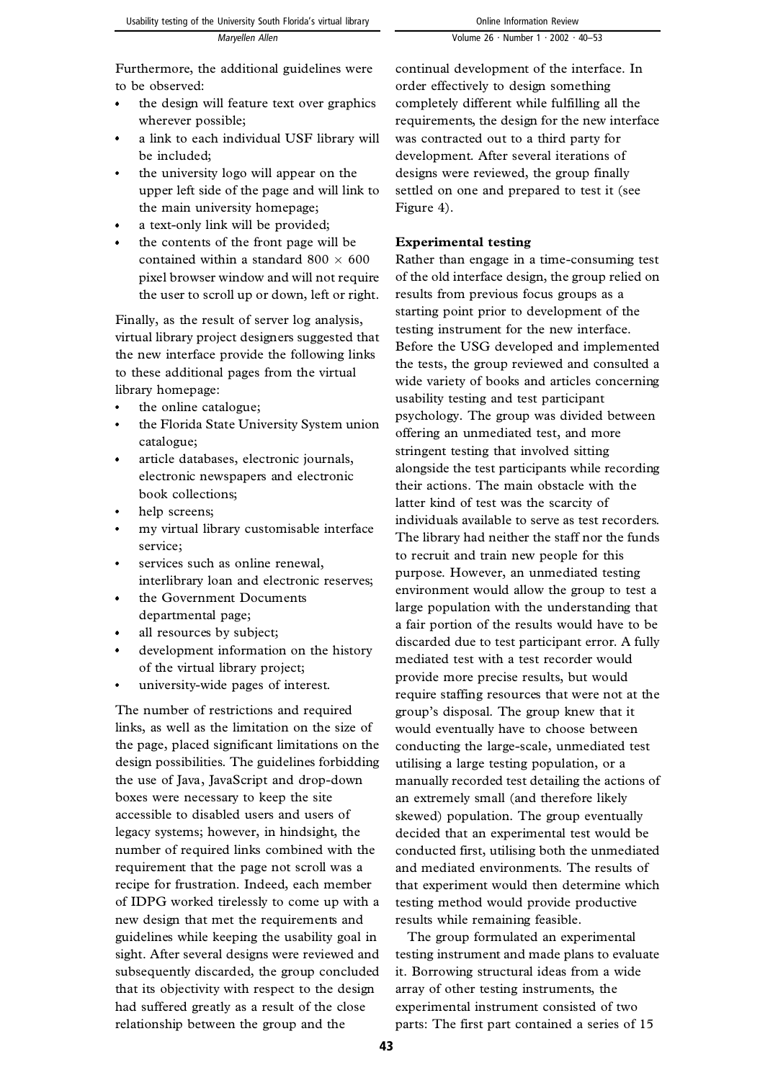Furthermore, the additional guidelines were to be observed:

- the design will feature text over graphics wherever possible;
- a link to each individual USF library will be included;
- the university logo will appear on the upper left side of the page and will link to the main university homepage;
- a text-only link will be provided;
- the contents of the front page will be contained within a standard  $800 \times 600$ pixel browser window and will not require the user to scroll up or down, left or right.

Finally, as the result of server log analysis, virtual library project designers suggested that the new interface provide the following links to these additional pages from the virtual library homepage:

- the online catalogue;
- the Florida State University System union catalogue;
- article databases, electronic journals, electronic newspapers and electronic book collections;
- help screens;
- my virtual library customisable interface service;
- services such as online renewal, interlibrary loan and electronic reserves;
- the Government Documents departmental page;
- all resources by subject;
- development information on the history of the virtual library project;
- university-wide pages of interest.

The number of restrictions and required links, as well as the limitation on the size of the page, placed significant limitations on the design possibilities. The guidelines forbidding the use of Java, JavaScript and drop-down boxes were necessary to keep the site accessible to disabled users and users of legacy systems; however, in hindsight, the number of required links combined with the requirement that the page not scroll was a recipe for frustration. Indeed, each member of IDPG worked tirelessly to come up with a new design that met the requirements and guidelines while keeping the usability goal in sight. After several designs were reviewed and subsequently discarded, the group concluded that its objectivity with respect to the design had suffered greatly as a result of the close relationship between the group and the

continual development of the interface. In order effectively to design something completely different while fulfilling all the requirements, the design for the new interface was contracted out to a third party for development. After several iterations of designs were reviewed, the group finally settled on one and prepared to test it (see Figure 4).

## **Experimental testing**

Rather than engage in a time-consuming test of the old interface design, the group relied on results from previous focus groups as a starting point prior to development of the testing instrument for the new interface. Before the USG developed and implemented the tests, the group reviewed and consulted a wide variety of books and articles concerning usability testing and test participant psychology. The group was divided between offering an unmediated test, and more stringent testing that involved sitting alongside the test participants while recording their actions. The main obstacle with the latter kind of test was the scarcity of individuals available to serve as test recorders. The library had neither the staff nor the funds to recruit and train new people for this purpose. However, an unmediated testing environment would allow the group to test a large population with the understanding that a fair portion of the results would have to be discarded due to test participant error. A fully mediated test with a test recorder would provide more precise results, but would require staffing resources that were not at the group's disposal. The group knew that it would eventually have to choose between conducting the large-scale, unmediated test utilising a large testing population, or a manually recorded test detailing the actions of an extremely small (and therefore likely skewed) population. The group eventually decided that an experimental test would be conducted first, utilising both the unmediated and mediated environments. The results of that experiment would then determine which testing method would provide productive results while remaining feasible.

The group formulated an experimental testing instrument and made plans to evaluate it. Borrowing structural ideas from a wide array of other testing instruments, the experimental instrument consisted of two parts: The first part contained a series of 15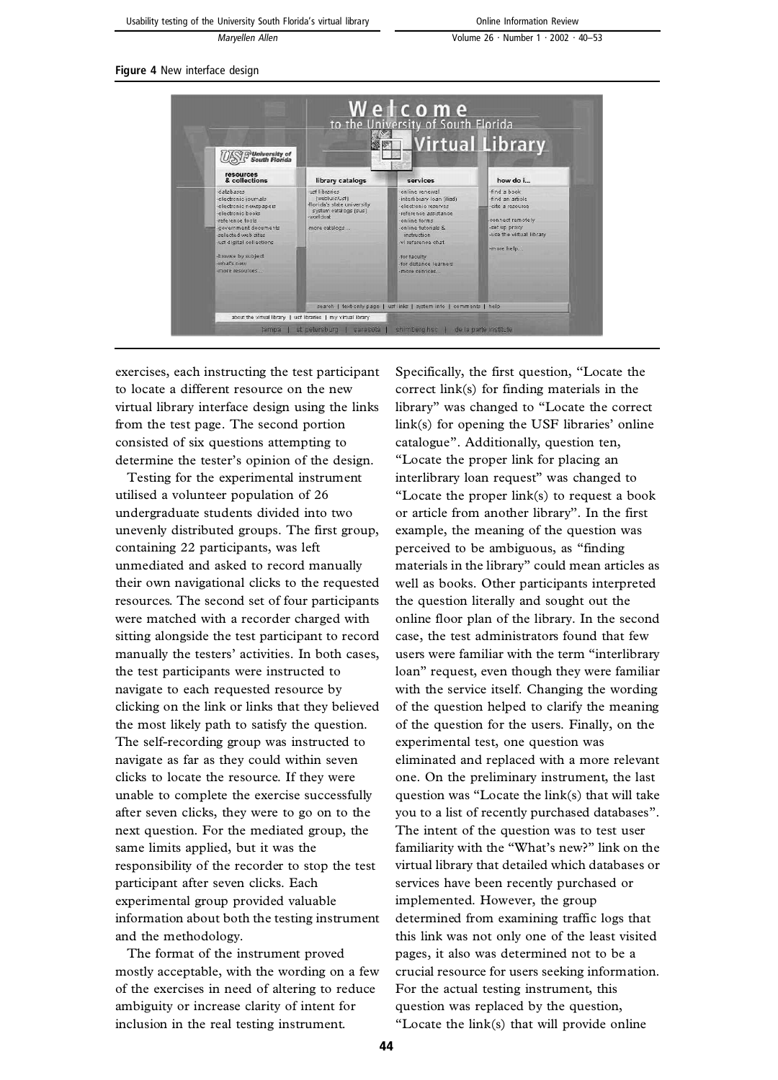Figure 4 New interface design



exercises, each instructing the test participant to locate a different resource on the new virtual library interface design using the links from the test page. The second portion consisted of six questions attempting to determine the tester's opinion of the design.

Testing for the experimental instrument utilised a volunteer population of 26 undergraduate students divided into two unevenly distributed groups. The first group, containing 22 participants, was left unmediated and asked to record manually their own navigational clicks to the requested resources. The second set of four participants were matched with a recorder charged with sitting alongside the test participant to record manually the testers' activities. In both cases, the test participants were instructed to navigate to each requested resource by clicking on the link or links that they believed the most likely path to satisfy the question. The self-recording group was instructed to navigate as far as they could within seven clicks to locate the resource. If they were unable to complete the exercise successfully after seven clicks, they were to go on to the next question. For the mediated group, the same limits applied, but it was the responsibility of the recorder to stop the test participant after seven clicks. Each experimental group provided valuable information about both the testing instrument and the methodology.

The format of the instrument proved mostly acceptable, with the wording on a few of the exercises in need of altering to reduce ambiguity or increase clarity of intent for inclusion in the real testing instrument.

Specifically, the first question, ''Locate the correct link(s) for finding materials in the library'' was changed to ''Locate the correct link(s) for opening the USF libraries' online catalogue''. Additionally, question ten, ''Locate the proper link for placing an interlibrary loan request'' was changed to ''Locate the proper link(s) to request a book or article from another library''. In the first example, the meaning of the question was perceived to be ambiguous, as ''finding materials in the library'' could mean articles as well as books. Other participants interpreted the question literally and sought out the online floor plan of the library. In the second case, the test administrators found that few users were familiar with the term ''interlibrary loan'' request, even though they were familiar with the service itself. Changing the wording of the question helped to clarify the meaning of the question for the users. Finally, on the experimental test, one question was eliminated and replaced with a more relevant one. On the preliminary instrument, the last question was ''Locate the link(s) that will take you to a list of recently purchased databases''. The intent of the question was to test user familiarity with the ''What's new?'' link on the virtual library that detailed which databases or services have been recently purchased or implemented. However, the group determined from examining traffic logs that this link was not only one of the least visited pages, it also was determined not to be a crucial resource for users seeking information. For the actual testing instrument, this question was replaced by the question, ''Locate the link(s) that will provide online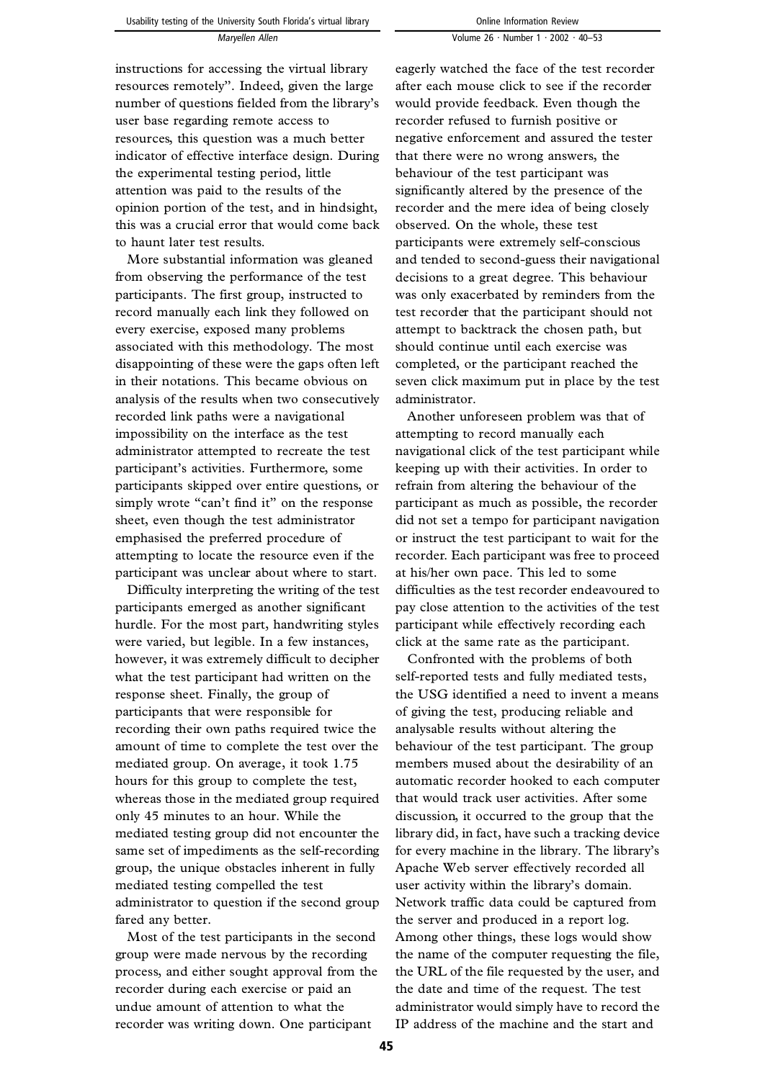instructions for accessing the virtual library resources remotely''. Indeed, given the large number of questions fielded from the library's user base regarding remote access to resources, this question was a much better indicator of effective interface design. During the experimental testing period, little attention was paid to the results of the opinion portion of the test, and in hindsight, this was a crucial error that would come back to haunt later test results.

More substantial information was gleaned from observing the performance of the test participants. The first group, instructed to record manually each link they followed on every exercise, exposed many problems associated with this methodology. The most disappointing of these were the gaps often left in their notations. This became obvious on analysis of the results when two consecutively recorded link paths were a navigational impossibility on the interface as the test administrator attempted to recreate the test participant's activities. Furthermore, some participants skipped over entire questions, or simply wrote "can't find it" on the response sheet, even though the test administrator emphasised the preferred procedure of attempting to locate the resource even if the participant was unclear about where to start.

Difficulty interpreting the writing of the test participants emerged as another significant hurdle. For the most part, handwriting styles were varied, but legible. In a few instances, however, it was extremely difficult to decipher what the test participant had written on the response sheet. Finally, the group of participants that were responsible for recording their own paths required twice the amount of time to complete the test over the mediated group. On average, it took 1.75 hours for this group to complete the test, whereas those in the mediated group required only 45 minutes to an hour. While the mediated testing group did not encounter the same set of impediments as the self-recording group, the unique obstacles inherent in fully mediated testing compelled the test administrator to question if the second group fared any better.

Most of the test participants in the second group were made nervous by the recording process, and either sought approval from the recorder during each exercise or paid an undue amount of attention to what the recorder was writing down. One participant

eagerly watched the face of the test recorder after each mouse click to see if the recorder would provide feedback. Even though the recorder refused to furnish positive or negative enforcement and assured the tester that there were no wrong answers, the behaviour of the test participant was significantly altered by the presence of the recorder and the mere idea of being closely observed. On the whole, these test participants were extremely self-conscious and tended to second-guess their navigational decisions to a great degree. This behaviour was only exacerbated by reminders from the test recorder that the participant should not attempt to backtrack the chosen path, but should continue until each exercise was completed, or the participant reached the seven click maximum put in place by the test administrator.

Another unforeseen problem was that of attempting to record manually each navigational click of the test participant while keeping up with their activities. In order to refrain from altering the behaviour of the participant as much as possible, the recorder did not set a tempo for participant navigation or instruct the test participant to wait for the recorder. Each participant was free to proceed at his/her own pace. This led to some difficulties as the test recorder endeavoured to pay close attention to the activities of the test participant while effectively recording each click at the same rate as the participant.

Confronted with the problems of both self-reported tests and fully mediated tests, the USG identified a need to invent a means of giving the test, producing reliable and analysable results without altering the behaviour of the test participant. The group members mused about the desirability of an automatic recorder hooked to each computer that would track user activities. After some discussion, it occurred to the group that the library did, in fact, have such a tracking device for every machine in the library. The library's Apache Web server effectively recorded all user activity within the library's domain. Network traffic data could be captured from the server and produced in a report log. Among other things, these logs would show the name of the computer requesting the file, the URL of the file requested by the user, and the date and time of the request. The test administrator would simply have to record the IP address of the machine and the start and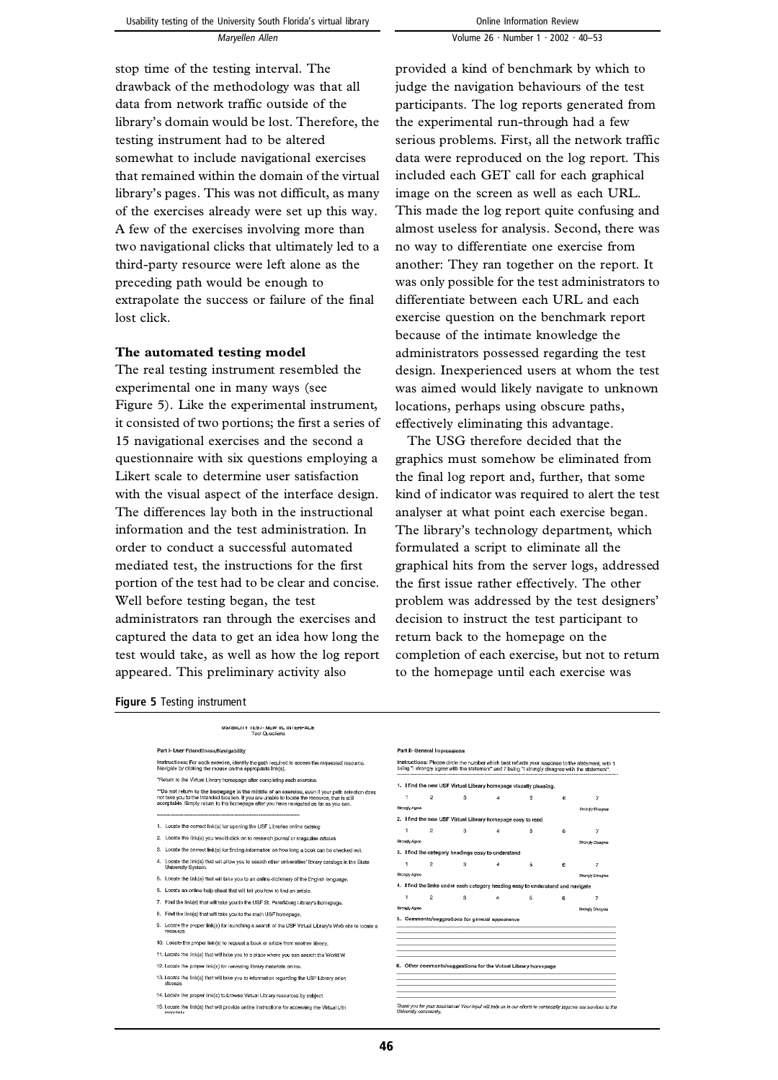stop time of the testing interval. The drawback of the methodology was that all data from network traffic outside of the library's domain would be lost. Therefore, the testing instrument had to be altered somewhat to include navigational exercises that remained within the domain of the virtual library's pages. This was not difficult, as many of the exercises already were set up this way. A few of the exercises involving more than two navigational clicks that ultimately led to a third-party resource were left alone as the preceding path would be enough to extrapolate the success or failure of the final lost click.

#### **The automated testing model**

The real testing instrument resembled the experimental one in many ways (see Figure 5). Like the experimental instrument, it consisted of two portions; the first a series of 15 navigational exercises and the second a questionnaire with six questions employing a Likert scale to determine user satisfaction with the visual aspect of the interface design. The differences lay both in the instructional information and the test administration. In order to conduct a successful automated mediated test, the instructions for the first portion of the test had to be clear and concise. Well before testing began, the test administrators ran through the exercises and captured the data to get an idea how long the test would take, as well as how the log report appeared. This preliminary activity also

provided a kind of benchmark by which to judge the navigation behaviours of the test participants. The log reports generated from the experimental run-through had a few serious problems. First, all the network traffic data were reproduced on the log report. This included each GET call for each graphical image on the screen as well as each URL. This made the log report quite confusing and almost useless for analysis. Second, there was no way to differentiate one exercise from another: They ran together on the report. It was only possible for the test administrators to differentiate between each URL and each exercise question on the benchmark report because of the intimate knowledge the administrators possessed regarding the test design. Inexperienced users at whom the test was aimed would likely navigate to unknown locations, perhaps using obscure paths, effectively eliminating this advantage.

The USG therefore decided that the graphics must somehow be eliminated from the final log report and, further, that some kind of indicator was required to alert the test analyser at what point each exercise began. The library's technology department, which formulated a script to eliminate all the graphical hits from the server logs, addressed the first issue rather effectively. The other problem was addressed by the test designers' decision to instruct the test participant to return back to the homepage on the completion of each exercise, but not to return to the homepage until each exercise was

#### Figure 5 Testing instrument

| USABILITY TEST- NEW VL INTERFACE<br><b>Test Questions</b>                                                                                                                                                                                                                                |                                                                                                                                                                                                        |                                                             |                                                                   |                  |   |   |                                                                                                                  |
|------------------------------------------------------------------------------------------------------------------------------------------------------------------------------------------------------------------------------------------------------------------------------------------|--------------------------------------------------------------------------------------------------------------------------------------------------------------------------------------------------------|-------------------------------------------------------------|-------------------------------------------------------------------|------------------|---|---|------------------------------------------------------------------------------------------------------------------|
| Part I- User Friendliness/Navigability                                                                                                                                                                                                                                                   | <b>Part II- General Impressions</b>                                                                                                                                                                    |                                                             |                                                                   |                  |   |   |                                                                                                                  |
| Instructions: For each exercise, identify the path required to access the requested resource.<br>Navigate by clicking the mouse on the appropriate link(s).                                                                                                                              | Instructions: Please circle the number which best reflects your response to the statement, with 1<br>being "I strongly agree with the statement" and 7 being "I strongly disagree with the statement". |                                                             |                                                                   |                  |   |   |                                                                                                                  |
| *Return to the Virtual Library homepage after completing each exercise.                                                                                                                                                                                                                  |                                                                                                                                                                                                        |                                                             | 1. I find the new USF Virtual Library homepage visually pleasing. |                  |   |   |                                                                                                                  |
| "Do not return to the homepage in the middle of an exercise, even if your path selection does<br>not take you to the intended location. If you are unable to locate the resource, that is still<br>acceptable. Simply return to the homepage after you have navigated as far as you can. | 1                                                                                                                                                                                                      | $\overline{2}$                                              | a.                                                                |                  | 5 | 6 | 7                                                                                                                |
|                                                                                                                                                                                                                                                                                          | Strongly Agree                                                                                                                                                                                         |                                                             |                                                                   |                  |   |   | Strongly Disagree                                                                                                |
|                                                                                                                                                                                                                                                                                          |                                                                                                                                                                                                        | 2. I find the new USF Virtual Library homepage easy to read |                                                                   |                  |   |   |                                                                                                                  |
| 1. Locate the correct link(s) for opening the USF Libraries online catalog                                                                                                                                                                                                               | 1                                                                                                                                                                                                      | 2                                                           | 3                                                                 | $\boldsymbol{A}$ | 5 | 6 | 7                                                                                                                |
| 2. Locate the link(s) you would click on to research journal or magazine articles                                                                                                                                                                                                        | Strongly Agree                                                                                                                                                                                         |                                                             |                                                                   |                  |   |   | Strongly Disagree                                                                                                |
| 3. Locate the correct link(s) for finding information on how long a book can be checked out.                                                                                                                                                                                             | 3. I find the category headings easy to understand                                                                                                                                                     |                                                             |                                                                   |                  |   |   |                                                                                                                  |
| 4. Locate the link(s) that will allow you to search other universities' fibrary catalogs in the State<br>University System.                                                                                                                                                              | $\mathbf{1}$                                                                                                                                                                                           | $\mathbf{2}$                                                | 3.                                                                | $\boldsymbol{d}$ | 5 | 6 | 7                                                                                                                |
| 5. Locate the link(s) that will take you to an online dictionary of the English language.                                                                                                                                                                                                | Strongly Agree<br><b>Strongly Disagree</b><br>4. I find the links under each category heading easy to understand and navigate                                                                          |                                                             |                                                                   |                  |   |   |                                                                                                                  |
| 6. Locate an online help sheet that will tell you how to find an article.                                                                                                                                                                                                                |                                                                                                                                                                                                        |                                                             |                                                                   |                  |   |   |                                                                                                                  |
| 7. Find the link(s) that will take you to the USF St. Petersburg Library's homepage.                                                                                                                                                                                                     | 1<br>Strongly Agree                                                                                                                                                                                    | $\overline{2}$                                              | s                                                                 | $\boldsymbol{A}$ | 5 |   | 7<br>Strongly Disagree                                                                                           |
| 8. Find the link(s) that will take you to the main USF homepage.                                                                                                                                                                                                                         | 5. Comments/suggestions for general appearance                                                                                                                                                         |                                                             |                                                                   |                  |   |   |                                                                                                                  |
| 9. Locate the proper link(s) for launching a search of the USF Virtual Library's Web site to locate a<br>resource.                                                                                                                                                                       |                                                                                                                                                                                                        |                                                             |                                                                   |                  |   |   |                                                                                                                  |
| 10. Locate the proper link(s) to request a book or article from another library.                                                                                                                                                                                                         |                                                                                                                                                                                                        |                                                             |                                                                   |                  |   |   |                                                                                                                  |
| 11. Locate the link(s) that will take you to a place where you can search the World W                                                                                                                                                                                                    |                                                                                                                                                                                                        |                                                             |                                                                   |                  |   |   |                                                                                                                  |
| 12. Locate the proper link(s) for renewing library materials online.                                                                                                                                                                                                                     |                                                                                                                                                                                                        |                                                             | 6. Other comments/suggestions for the Virtual Library homepage    |                  |   |   |                                                                                                                  |
| 13. Locate the link(s) that will take you to information regarding the USF Library orien<br>classes.                                                                                                                                                                                     |                                                                                                                                                                                                        |                                                             |                                                                   |                  |   |   |                                                                                                                  |
| 14. Locate the proper link(s) to browse Virtual Library resources by subject.                                                                                                                                                                                                            |                                                                                                                                                                                                        |                                                             |                                                                   |                  |   |   |                                                                                                                  |
| 15. Locate the link(s) that will provide online instructions for accessing the Virtual Libr<br>ramotolu                                                                                                                                                                                  | University community,                                                                                                                                                                                  |                                                             |                                                                   |                  |   |   | Thank you for your assistance! Your input will help us in our efforts to continually improve our services to the |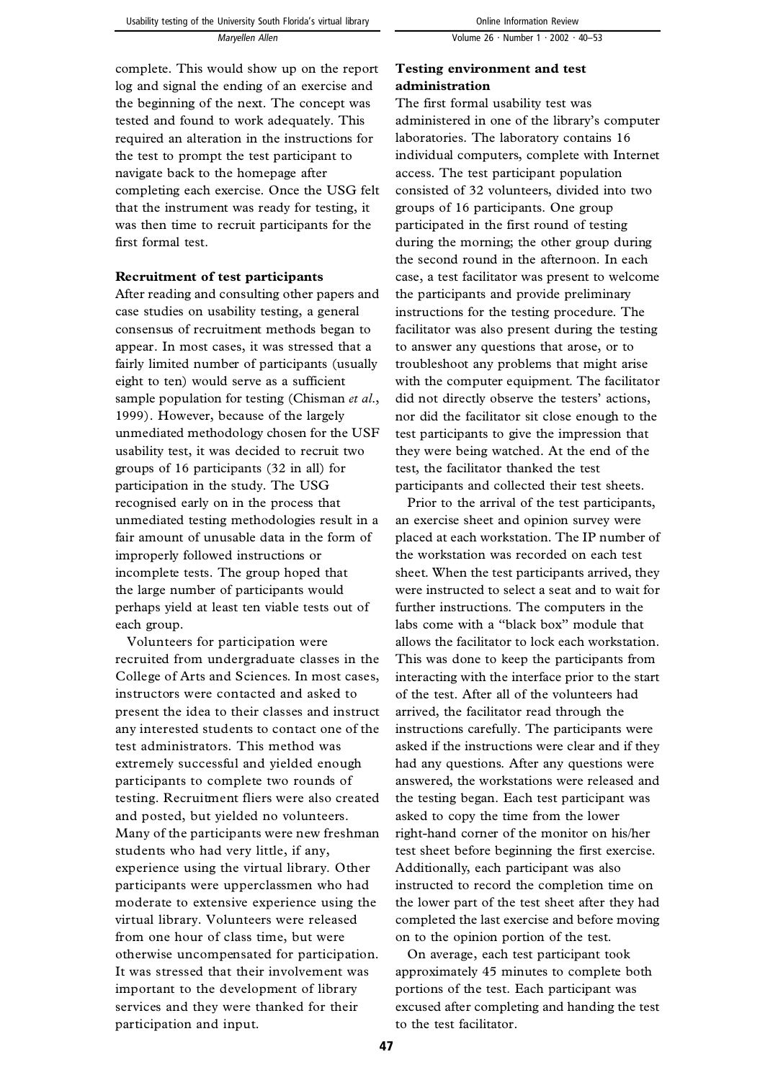complete. This would show up on the report log and signal the ending of an exercise and the beginning of the next. The concept was tested and found to work adequately. This required an alteration in the instructions for the test to prompt the test participant to navigate back to the homepage after completing each exercise. Once the USG felt that the instrument was ready for testing, it was then time to recruit participants for the first formal test.

## **Recruitment of test participants**

After reading and consulting other papers and case studies on usability testing, a general consensus of recruitment methods began to appear. In most cases, it was stressed that a fairly limited number of participants (usually eight to ten) would serve as a sufficient sample population for testing (Chisman *et al*., 1999). However, because of the largely unmediated methodology chosen for the USF usability test, it was decided to recruit two groups of 16 participants (32 in all) for participation in the study. The USG recognised early on in the process that unmediated testing methodologies result in a fair amount of unusable data in the form of improperly followed instructions or incomplete tests. The group hoped that the large number of participants would perhaps yield at least ten viable tests out of each group.

Volunteers for participation were recruited from undergraduate classes in the College of Arts and Sciences. In most cases, instructors were contacted and asked to present the idea to their classes and instruct any interested students to contact one of the test administrators. This method was extremely successful and yielded enough participants to complete two rounds of testing. Recruitment fliers were also created and posted, but yielded no volunteers. Many of the participants were new freshman students who had very little, if any, experience using the virtual library. Other participants were upperclassmen who had moderate to extensive experience using the virtual library. Volunteers were released from one hour of class time, but were otherwise uncompensated for participation. It was stressed that their involvement was important to the development of library services and they were thanked for their participation and input.

#### **Testing environment and test administration**

The first formal usability test was administered in one of the library's computer laboratories. The laboratory contains 16 individual computers, complete with Internet access. The test participant population consisted of 32 volunteers, divided into two groups of 16 participants. One group participated in the first round of testing during the morning; the other group during the second round in the afternoon. In each case, a test facilitator was present to welcome the participants and provide preliminary instructions for the testing procedure. The facilitator was also present during the testing to answer any questions that arose, or to troubleshoot any problems that might arise with the computer equipment. The facilitator did not directly observe the testers' actions, nor did the facilitator sit close enough to the test participants to give the impression that they were being watched. At the end of the test, the facilitator thanked the test participants and collected their test sheets.

Prior to the arrival of the test participants, an exercise sheet and opinion survey were placed at each workstation. The IP number of the workstation was recorded on each test sheet. When the test participants arrived, they were instructed to select a seat and to wait for further instructions. The computers in the labs come with a ''black box'' module that allows the facilitator to lock each workstation. This was done to keep the participants from interacting with the interface prior to the start of the test. After all of the volunteers had arrived, the facilitator read through the instructions carefully. The participants were asked if the instructions were clear and if they had any questions. After any questions were answered, the workstations were released and the testing began. Each test participant was asked to copy the time from the lower right-hand corner of the monitor on his/her test sheet before beginning the first exercise. Additionally, each participant was also instructed to record the completion time on the lower part of the test sheet after they had completed the last exercise and before moving on to the opinion portion of the test.

On average, each test participant took approximately 45 minutes to complete both portions of the test. Each participant was excused after completing and handing the test to the test facilitator.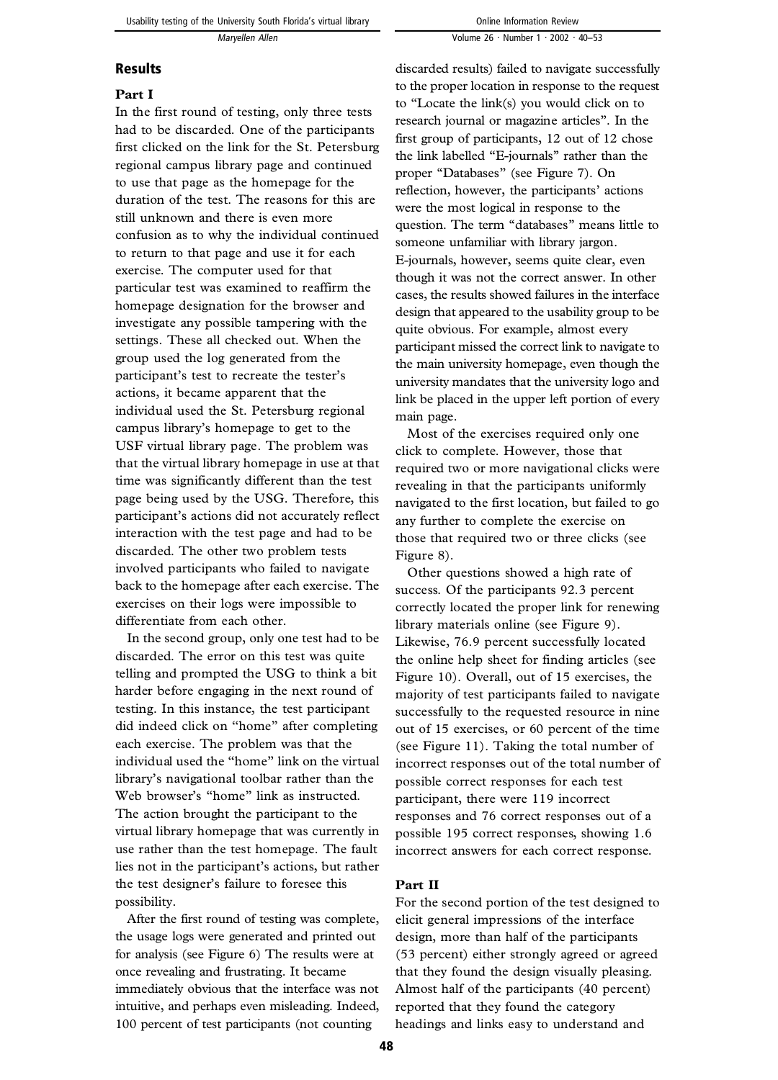#### **Results**

#### **Part I**

In the first round of testing, only three tests had to be discarded. One of the participants first clicked on the link for the St. Petersburg regional campus library page and continued to use that page as the homepage for the duration of the test. The reasons for this are still unknown and there is even more confusion as to why the individual continued to return to that page and use it for each exercise. The computer used for that particular test was examined to reaffirm the homepage designation for the browser and investigate any possible tampering with the settings. These all checked out. When the group used the log generated from the participant's test to recreate the tester's actions, it became apparent that the individual used the St. Petersburg regional campus library's homepage to get to the USF virtual library page. The problem was that the virtual library homepage in use at that time was significantly different than the test page being used by the USG. Therefore, this participant's actions did not accurately reflect interaction with the test page and had to be discarded. The other two problem tests involved participants who failed to navigate back to the homepage after each exercise. The exercises on their logs were impossible to differentiate from each other.

In the second group, only one test had to be discarded. The error on this test was quite telling and prompted the USG to think a bit harder before engaging in the next round of testing. In this instance, the test participant did indeed click on ''home'' after completing each exercise. The problem was that the individual used the ''home'' link on the virtual library's navigational toolbar rather than the Web browser's "home" link as instructed. The action brought the participant to the virtual library homepage that was currently in use rather than the test homepage. The fault lies not in the participant's actions, but rather the test designer's failure to foresee this possibility.

After the first round of testing was complete, the usage logs were generated and printed out for analysis (see Figure 6) The results were at once revealing and frustrating. It became immediately obvious that the interface was not intuitive, and perhaps even misleading. Indeed, 100 percent of test participants (not counting

discarded results) failed to navigate successfully to the proper location in response to the request to ''Locate the link(s) you would click on to research journal or magazine articles''. In the first group of participants, 12 out of 12 chose the link labelled ''E-journals'' rather than the proper "Databases" (see Figure 7). On reflection, however, the participants' actions were the most logical in response to the question. The term "databases" means little to someone unfamiliar with library jargon. E-journals, however, seems quite clear, even though it was not the correct answer. In other cases, the results showed failures in the interface design that appeared to the usability group to be quite obvious. For example, almost every participant missed the correct link to navigate to the main university homepage, even though the university mandates that the university logo and link be placed in the upper left portion of every main page.

Most of the exercises required only one click to complete. However, those that required two or more navigational clicks were revealing in that the participants uniformly navigated to the first location, but failed to go any further to complete the exercise on those that required two or three clicks (see Figure 8).

Other questions showed a high rate of success. Of the participants 92.3 percent correctly located the proper link for renewing library materials online (see Figure 9). Likewise, 76.9 percent successfully located the online help sheet for finding articles (see Figure 10). Overall, out of 15 exercises, the majority of test participants failed to navigate successfully to the requested resource in nine out of 15 exercises, or 60 percent of the time (see Figure 11). Taking the total number of incorrect responses out of the total number of possible correct responses for each test participant, there were 119 incorrect responses and 76 correct responses out of a possible 195 correct responses, showing 1.6 incorrect answers for each correct response.

#### **Part II**

For the second portion of the test designed to elicit general impressions of the interface design, more than half of the participants (53 percent) either strongly agreed or agreed that they found the design visually pleasing. Almost half of the participants (40 percent) reported that they found the category headings and links easy to understand and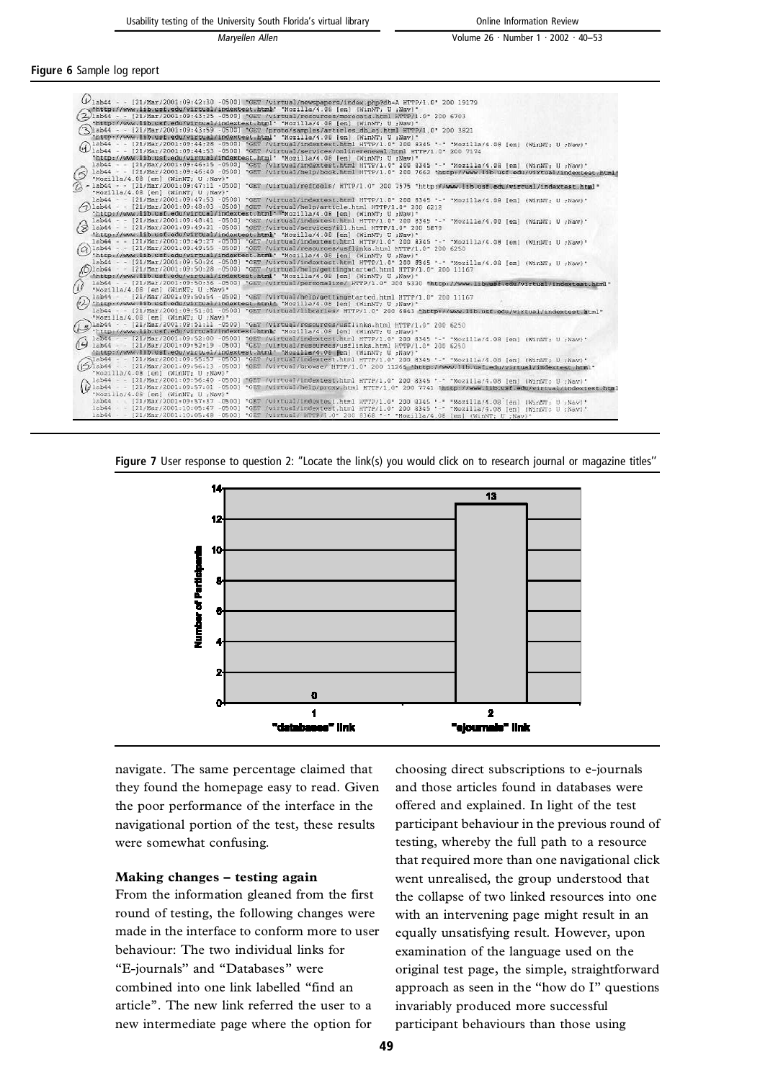Usability testing of the University South Florida's virtual library

*Maryellen Allen*

Volume 26 Number 1 2002 . 40-53

#### Figure 6 Sample log report

| lab44 - - [21/Mar/2001:09:42:30 -0500] "GET /virtual/newspapers/index.php?db=A HTTP/1.0" 200 19179                                                                                                                                                      |
|---------------------------------------------------------------------------------------------------------------------------------------------------------------------------------------------------------------------------------------------------------|
| "http://www.lib.usf.edu/virtual/indextest.html" "Nozilla/4.08 [en] (WinNT; U :Nav)"                                                                                                                                                                     |
| lab44 - - [21/Mar/2001:09:43:25 -0500] "GET /virtual/resources/morecats.html HTTP/1.0" 200 6703                                                                                                                                                         |
| "http://www.lib.usf.edu/virtual/indextest.html" "Mozilla/4.08 [en] (WinNT; U ;Nav)"                                                                                                                                                                     |
|                                                                                                                                                                                                                                                         |
| ab44 - - [21/Mar/2001:09:43:59 -0500] "GET /proto/samples/articles db ej.html HTTP/1.0" 200 3821                                                                                                                                                        |
| "http://www.lib.usf.edu/virtual/indextest.html" "Nozilla/4.08 [en] (WinNT; U ;Nav)"                                                                                                                                                                     |
| lab44 - - [21/Mar/2001:09:44:28 -0500] "GET /virtual/indextest.html HTTP/1.0" 200 8345 "- "Mozilla/4.08 [en] (WinNT; U ;Nav)"                                                                                                                           |
| lab44 - - [21/Mar/2001:09:44:53 -0500] "GBT /virtual/services/onlinerenewal.html ETTP/1.0" 200 7174                                                                                                                                                     |
| "http://www.lib.usf.edu/viztual/indextest.html" "Nozilla/4.08 [en] (WinNT: U :Nav)"                                                                                                                                                                     |
| lab44 - - [21/Mar/2001:09:46:15 -0500] "GET /virtual/indextest.html HTTP/1.0" 200 8345 "-" "Mozilla/4.08 [en] (WinNT; U ;Nav)"                                                                                                                          |
| lab44 - - [21/Mar/2001:09:46:40 -0500] "GET /virtual/help/book.html HTTP/1.0" 200 7662 "http://www.lib.usf.edu/virtual/indextest.html"                                                                                                                  |
| "Mozilla/4.08 [en] (WinNT: U :Nav)"                                                                                                                                                                                                                     |
| $-$ lab44 - - [21/Mar/2001:09:47:11 -0500]<br>"GET /virtual/reftools/ HTTP/1.0" 200 7575 "http://www.lib.usf.edu/virtual/indextest.html"                                                                                                                |
| "Mozilla/4.08 [en] (WinNT; U ;Nav)"                                                                                                                                                                                                                     |
| lab44 - - [21/Mar/2001:09:47:53 -0500] "GET /virtual/indextest.html HTTP/1.0" 200 8345 "-" "Mozilla/4.08 [en] (WinNT: U :Nav)"                                                                                                                          |
| (1) lab44 - - [21/Mar/2001:09:48:03 -0500] "GET /virtual/help/article.html HTTP/1.0" 200 6212                                                                                                                                                           |
| "http://www.lib.usf.edu/virtual/indextest.html" "Mozilla/4.08 (en) (WinNT: U :Nav)"                                                                                                                                                                     |
| lab44 - - [21/Mar/2001:09:48:41 -0500] "GET /virtual/indextest.html HTTP/1.0" 200 8345 "-" "Mozilla/4.08 [en] (WinNT: U /Nav)"                                                                                                                          |
| lab44 - - [21/Mar/2001:09:49:21 -0500] "GET-/virtual/services/ill.html HTTP/1.0" 200 5879                                                                                                                                                               |
| "http://www.lib.usf.edu/virtual/indextest.html" "Mozilla/4.08 [en] (WinNT; U ;Nav)"                                                                                                                                                                     |
| lab44 - - [21/Mar/2001:09:49:27 -0500] "GET /virtual/indextest.html HTTP/1.0" 200 8345 "-" "Mozilla/4.08 [en] (WinNT; U ;Nav)"                                                                                                                          |
| lab44 - [21/Mar/2001:09:49:55 -0500] "GET /virtual/resources/usflinks.html HTTP/1.0" 200 6250                                                                                                                                                           |
| "http://www.lib.usf.edu/virtual/indextest.html" "Mozilla/4.08 [en] (WinNT: U :Nav)"                                                                                                                                                                     |
| lab44 - - [21/Mar/2001:09:50:24 -0500] "GET /virtual/indextest.html HTTP/1.0" 200 8945 "-" "Mozilla/4.08 [em] (WinNT; U ;Nav)"                                                                                                                          |
| D)lab44 - - [21/Mar/2001:09:50:28 -0500] "GET /virtual/help/gettingstarted.html HTTP/1.0" 200 11167                                                                                                                                                     |
| "https://www.lib.usf.edu/virtual/indextest.html" "Mozilla/4.08 [en] (WinNT; U :Nav)                                                                                                                                                                     |
| lab44 - - [21/Mar/2001:09:50:36 -0500] "GET /virtual/personalize/ HTTP/1.0" 200 5320 "http://www.lib.usf.edu/virtual/indextest.html"                                                                                                                    |
| "Mozilla/4.08 [en] (WinNT; U ;Nav)"                                                                                                                                                                                                                     |
| lab44 - - [21/Mar/2001:09:50:54 -0500] "GET /virtual/help/gettingstarted.html HTTP/1.0" 200 11167                                                                                                                                                       |
| "http://www.lib.usf.edu/wirtual/indextest.htmlf. "Mozilla/4.08 [en] (WinNT; U :Nav)"                                                                                                                                                                    |
| lab44 - - [21/Mar/2001:09:51:01 -0500] "GET /virtual/libraries/ HTTP/1.0" 200 6843 "http://www.lib.usf.edu/virtual/indextest.atml"                                                                                                                      |
| "Mozilla/4.08 (en) (WinNT: U /Nav)"                                                                                                                                                                                                                     |
| 44dal<br>$-$ - [21/Mar/2001:09:51:11 -0500] "GET /virtual/resources/usflinks.html HTTP/1.0" 200 6250                                                                                                                                                    |
| "http://www.lib.usf.edu/virtual/indextest.html" "Mozilla/4.08 [en] (WinNT; U ;Nav)"                                                                                                                                                                     |
| lab44 - - [21/Mar/2001:09:52:00 -0500] "GET /virtual/indextest.html HTTP/1.0" 200 8345 "-" "Mozilla/4.08 [en] (WinNT; U ;Nav;"                                                                                                                          |
| - - [21/Mar/2001:09:52:19 -0500] "GET /virtual/resources/usflinks.html HTTP/1.0" 200 6250<br><b>Label</b>                                                                                                                                               |
| "http://www.lib.usf.edu/virtual/indextest.html" "Mozilla/4.08 [en] (WinNT; U ;Nav)                                                                                                                                                                      |
| <lab44 "-"="" "get="" "mozilla="" (winnt;="" -="" -0500]="" 1.0"="" 200="" 2001:09:55:57="" 4.08="" 8345="" ;nav)"<="" [21="" [en]="" http="" indextest.html="" mar="" td="" u="" virtual=""></lab44>                                                   |
| Mab44<br>- [21/Mar/2001:09:56:13 -0500] "GET /virtual/browse/ HTTP/1.0" 200 11266 "http://www.lib.usf.edu/virtual/indextest.html"                                                                                                                       |
| "Nozilla/4.08 [en] (WinNT: U :Nav)"                                                                                                                                                                                                                     |
|                                                                                                                                                                                                                                                         |
| lab44 - - [21/Mar/2001:09:56:40 -0500] "GET /virtual/indextest.html HTTP/1.0" 200 8345 "-" "Mozilla/4.08 [en] (WinNT: U :Nav)"                                                                                                                          |
| - [21/Max/2001:09:57:01 -0500] "GET /virtual/help/proxy.html HTTP/1.0" 200 7741 "http://www.iib.usf.edu/virtual/indextest.html<br>1ab44                                                                                                                 |
| "Nozilla/4.08 [en] (WinNT; U ;Nav)"                                                                                                                                                                                                                     |
| lab44 - [21/Mar/2001:09:57:37 -0500]<br>"GET /vixtual/indextest.html HTTP/1.0" 200 8345 "-" "Mozilla/4.08 [en] (WinNT: U :Nav!"                                                                                                                         |
| lab44 - - [21/Mar/2001:10:05:47<br>$-0500$ ]<br>"GET /virtual/indextest.html HTTP/1.0" 200 8345 "-" "Mozilla/4.08 [en] (WinNT: U :Nav)"<br>lab44 - - 121/Mar/2001:10:05:48<br>"GET /virtual/ HTTP/1.0" 200 8368 "-" "Mozilla/4.08 [em] (WinNT; U :Nav)" |
| $-05001$                                                                                                                                                                                                                                                |

Figure 7 User response to question 2: "Locate the link(s) you would click on to research journal or magazine titles"



navigate. The same percentage claimed that they found the homepage easy to read. Given the poor performance of the interface in the navigational portion of the test, these results were somewhat confusing.

#### **Making changes – testing again**

From the information gleaned from the first round of testing, the following changes were made in the interface to conform more to user behaviour: The two individual links for ''E-journals'' and ''Databases'' were combined into one link labelled ''find an article''. The new link referred the user to a new intermediate page where the option for

choosing direct subscriptions to e-journals and those articles found in databases were offered and explained. In light of the test participant behaviour in the previous round of testing, whereby the full path to a resource that required more than one navigational click went unrealised, the group understood that the collapse of two linked resources into one with an intervening page might result in an equally unsatisfying result. However, upon examination of the language used on the original test page, the simple, straightforward approach as seen in the ''how do I'' questions invariably produced more successful participant behaviours than those using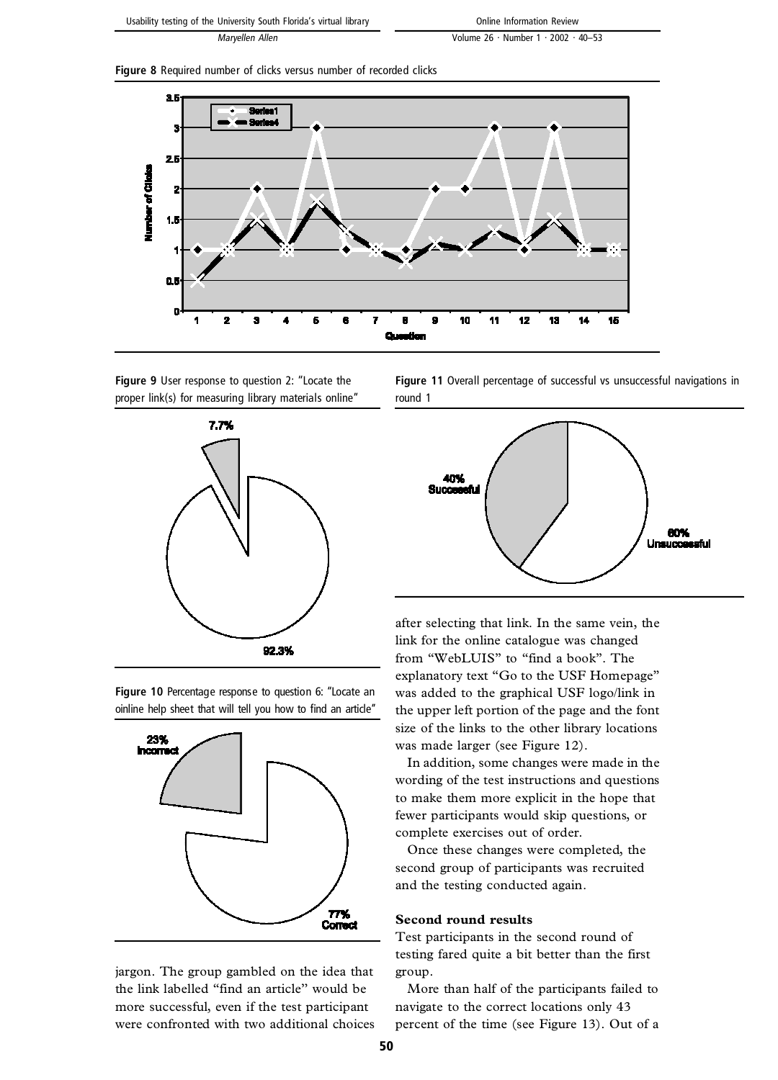Figure 8 Required number of clicks versus number of recorded clicks



Figure 9 User response to question 2: "Locate the proper link(s) for measuring library materials online''



Figure 10 Percentage response to question 6: "Locate an oinline help sheet that will tell you how to find an article''



jargon. The group gambled on the idea that the link labelled ''find an article'' would be more successful, even if the test participant were confronted with two additional choices Figure 11 Overall percentage of successful vs unsuccessful navigations in round 1



after selecting that link. In the same vein, the link for the online catalogue was changed from "WebLUIS" to "find a book". The explanatory text "Go to the USF Homepage" was added to the graphical USF logo/link in the upper left portion of the page and the font size of the links to the other library locations was made larger (see Figure 12).

In addition, some changes were made in the wording of the test instructions and questions to make them more explicit in the hope that fewer participants would skip questions, or complete exercises out of order.

Once these changes were completed, the second group of participants was recruited and the testing conducted again.

#### **Second round results**

Test participants in the second round of testing fared quite a bit better than the first group.

More than half of the participants failed to navigate to the correct locations only 43 percent of the time (see Figure 13). Out of a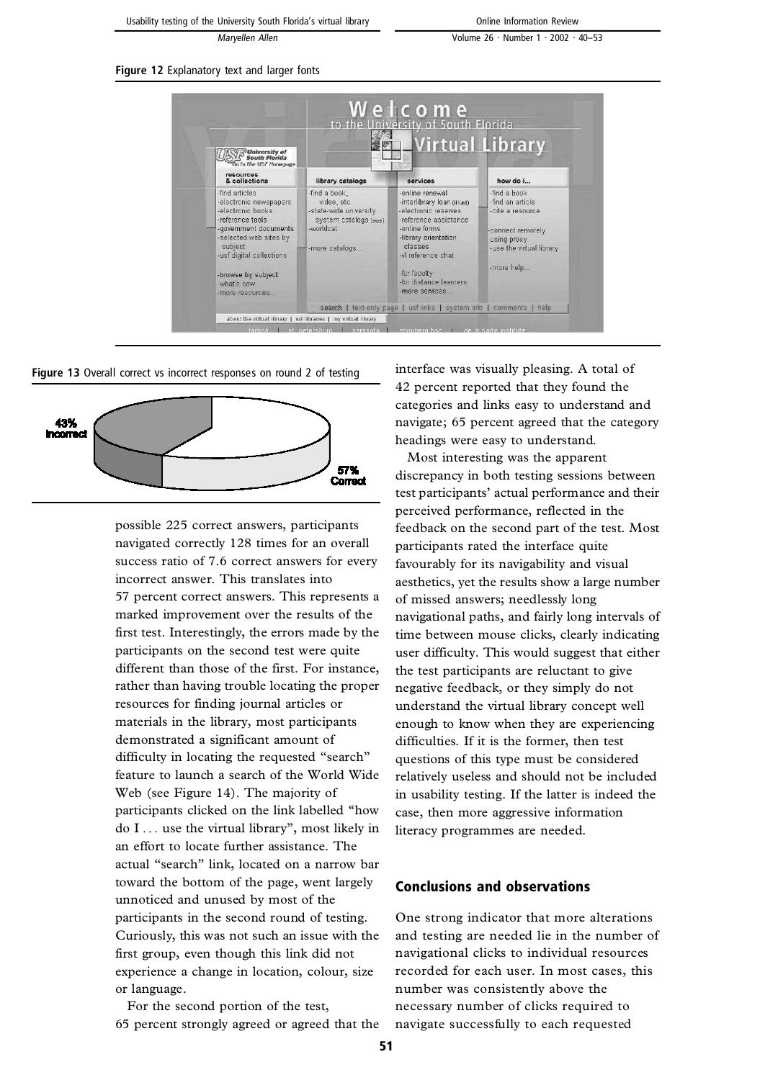Figure 12 Explanatory text and larger fonts



Figure 13 Overall correct vs incorrect responses on round 2 of testing



possible 225 correct answers, participants navigated correctly 128 times for an overall success ratio of 7.6 correct answers for every incorrect answer. This translates into 57 percent correct answers. This represents a marked improvement over the results of the first test. Interestingly, the errors made by the participants on the second test were quite different than those of the first. For instance, rather than having trouble locating the proper resources for finding journal articles or materials in the library, most participants demonstrated a significant amount of difficulty in locating the requested "search" feature to launch a search of the World Wide Web (see Figure 14). The majority of participants clicked on the link labelled ''how do I .. . use the virtual library'', most likely in an effort to locate further assistance. The actual ''search'' link, located on a narrow bar toward the bottom of the page, went largely unnoticed and unused by most of the participants in the second round of testing. Curiously, this was not such an issue with the first group, even though this link did not experience a change in location, colour, size or language.

For the second portion of the test, 65 percent strongly agreed or agreed that the interface was visually pleasing. A total of 42 percent reported that they found the categories and links easy to understand and navigate; 65 percent agreed that the category headings were easy to understand.

Most interesting was the apparent discrepancy in both testing sessions between test participants' actual performance and their perceived performance, reflected in the feedback on the second part of the test. Most participants rated the interface quite favourably for its navigability and visual aesthetics, yet the results show a large number of missed answers; needlessly long navigational paths, and fairly long intervals of time between mouse clicks, clearly indicating user difficulty. This would suggest that either the test participants are reluctant to give negative feedback, or they simply do not understand the virtual library concept well enough to know when they are experiencing difficulties. If it is the former, then test questions of this type must be considered relatively useless and should not be included in usability testing. If the latter is indeed the case, then more aggressive information literacy programmes are needed.

## Conclusions and observations

One strong indicator that more alterations and testing are needed lie in the number of navigational clicks to individual resources recorded for each user. In most cases, this number was consistently above the necessary number of clicks required to navigate successfully to each requested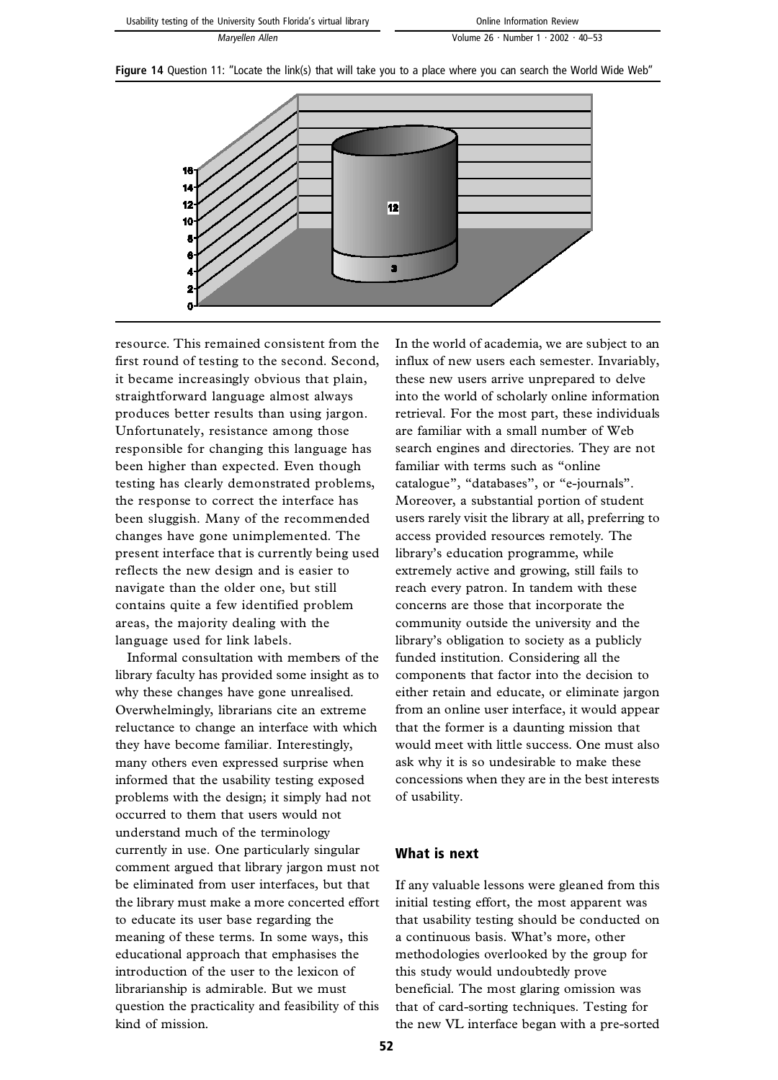Figure 14 Question 11: "Locate the link(s) that will take you to a place where you can search the World Wide Web"



resource. This remained consistent from the first round of testing to the second. Second, it became increasingly obvious that plain, straightforward language almost always produces better results than using jargon. Unfortunately, resistance among those responsible for changing this language has been higher than expected. Even though testing has clearly demonstrated problems, the response to correct the interface has been sluggish. Many of the recommended changes have gone unimplemented. The present interface that is currently being used reflects the new design and is easier to navigate than the older one, but still contains quite a few identified problem areas, the majority dealing with the language used for link labels.

Informal consultation with members of the library faculty has provided some insight as to why these changes have gone unrealised. Overwhelmingly, librarians cite an extreme reluctance to change an interface with which they have become familiar. Interestingly, many others even expressed surprise when informed that the usability testing exposed problems with the design; it simply had not occurred to them that users would not understand much of the terminology currently in use. One particularly singular comment argued that library jargon must not be eliminated from user interfaces, but that the library must make a more concerted effort to educate its user base regarding the meaning of these terms. In some ways, this educational approach that emphasises the introduction of the user to the lexicon of librarianship is admirable. But we must question the practicality and feasibility of this kind of mission.

In the world of academia, we are subject to an influx of new users each semester. Invariably, these new users arrive unprepared to delve into the world of scholarly online information retrieval. For the most part, these individuals are familiar with a small number of Web search engines and directories. They are not familiar with terms such as ''online catalogue", "databases", or "e-journals". Moreover, a substantial portion of student users rarely visit the library at all, preferring to access provided resources remotely. The library's education programme, while extremely active and growing, still fails to reach every patron. In tandem with these concerns are those that incorporate the community outside the university and the library's obligation to society as a publicly funded institution. Considering all the components that factor into the decision to either retain and educate, or eliminate jargon from an online user interface, it would appear that the former is a daunting mission that would meet with little success. One must also ask why it is so undesirable to make these concessions when they are in the best interests of usability.

## What is next

If any valuable lessons were gleaned from this initial testing effort, the most apparent was that usability testing should be conducted on a continuous basis. What's more, other methodologies overlooked by the group for this study would undoubtedly prove beneficial. The most glaring omission was that of card-sorting techniques. Testing for the new VL interface began with a pre-sorted